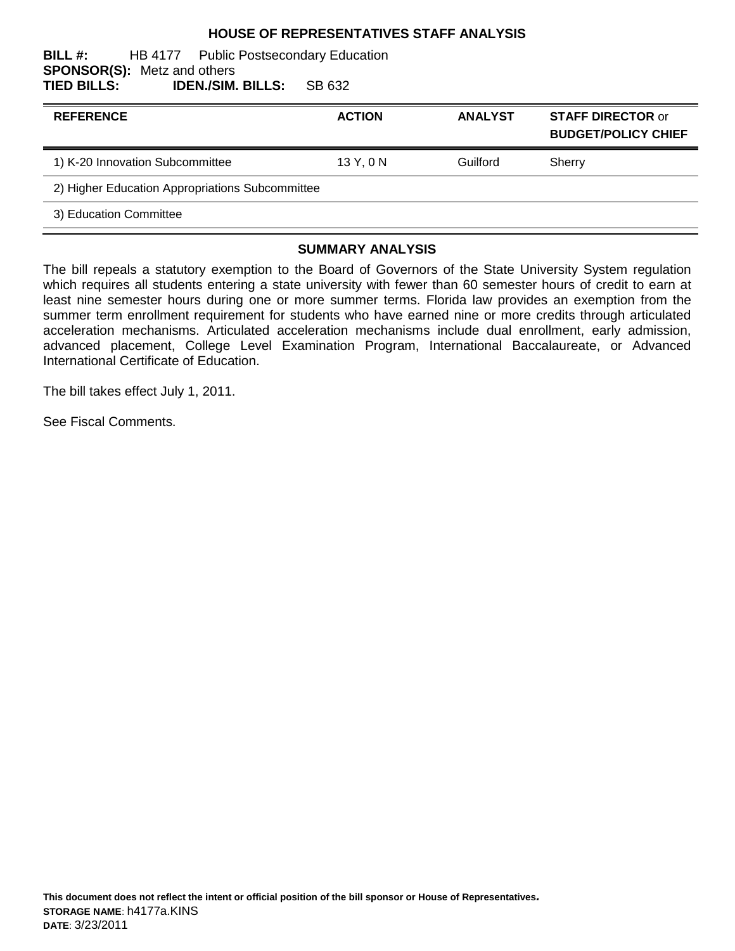### **HOUSE OF REPRESENTATIVES STAFF ANALYSIS**

#### **BILL #:** HB 4177 Public Postsecondary Education **SPONSOR(S):** Metz and others **TIED BILLS: IDEN./SIM. BILLS:** SB 632

| <b>REFERENCE</b>                                | <b>ACTION</b> | <b>ANALYST</b> | <b>STAFF DIRECTOR or</b><br><b>BUDGET/POLICY CHIEF</b> |
|-------------------------------------------------|---------------|----------------|--------------------------------------------------------|
| 1) K-20 Innovation Subcommittee                 | 13Y, 0N       | Guilford       | Sherry                                                 |
| 2) Higher Education Appropriations Subcommittee |               |                |                                                        |
| 3) Education Committee                          |               |                |                                                        |
|                                                 |               |                |                                                        |

### **SUMMARY ANALYSIS**

The bill repeals a statutory exemption to the Board of Governors of the State University System regulation which requires all students entering a state university with fewer than 60 semester hours of credit to earn at least nine semester hours during one or more summer terms. Florida law provides an exemption from the summer term enrollment requirement for students who have earned nine or more credits through articulated acceleration mechanisms. Articulated acceleration mechanisms include dual enrollment, early admission, advanced placement, College Level Examination Program, International Baccalaureate, or Advanced International Certificate of Education.

The bill takes effect July 1, 2011.

See Fiscal Comments.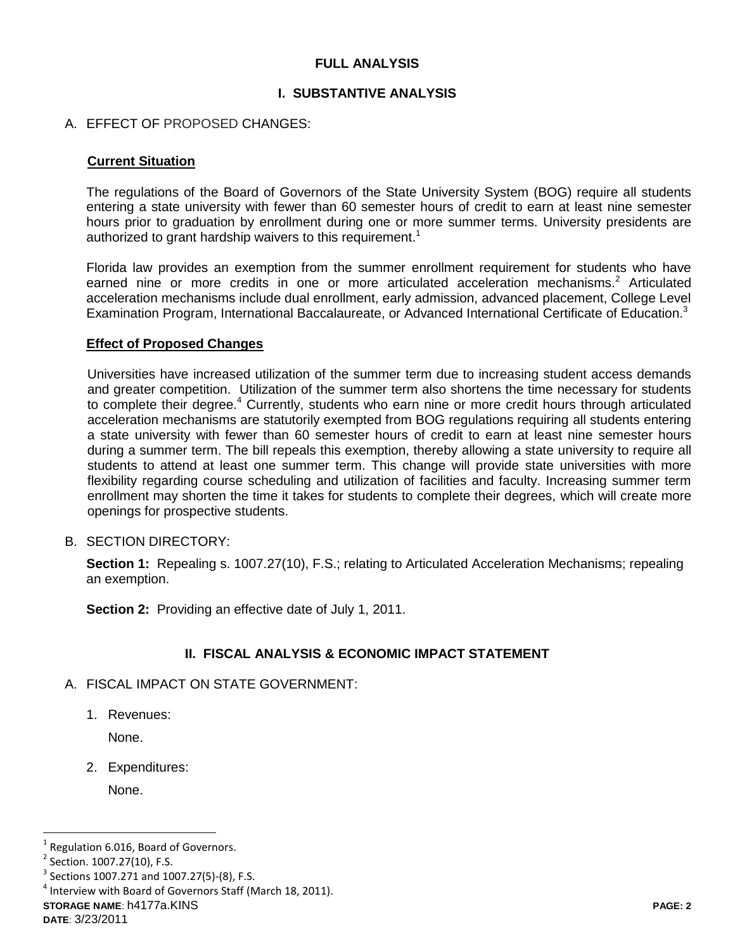## **FULL ANALYSIS**

## **I. SUBSTANTIVE ANALYSIS**

### A. EFFECT OF PROPOSED CHANGES:

#### **Current Situation**

The regulations of the Board of Governors of the State University System (BOG) require all students entering a state university with fewer than 60 semester hours of credit to earn at least nine semester hours prior to graduation by enrollment during one or more summer terms. University presidents are authorized to grant hardship waivers to this requirement.<sup>1</sup>

Florida law provides an exemption from the summer enrollment requirement for students who have earned nine or more credits in one or more articulated acceleration mechanisms.<sup>2</sup> Articulated acceleration mechanisms include dual enrollment, early admission, advanced placement, College Level Examination Program, International Baccalaureate, or Advanced International Certificate of Education.<sup>3</sup>

#### **Effect of Proposed Changes**

Universities have increased utilization of the summer term due to increasing student access demands and greater competition. Utilization of the summer term also shortens the time necessary for students to complete their degree.<sup>4</sup> Currently, students who earn nine or more credit hours through articulated acceleration mechanisms are statutorily exempted from BOG regulations requiring all students entering a state university with fewer than 60 semester hours of credit to earn at least nine semester hours during a summer term. The bill repeals this exemption, thereby allowing a state university to require all students to attend at least one summer term. This change will provide state universities with more flexibility regarding course scheduling and utilization of facilities and faculty. Increasing summer term enrollment may shorten the time it takes for students to complete their degrees, which will create more openings for prospective students.

B. SECTION DIRECTORY:

**Section 1:** Repealing s. 1007.27(10), F.S.; relating to Articulated Acceleration Mechanisms; repealing an exemption.

**Section 2:** Providing an effective date of July 1, 2011.

## **II. FISCAL ANALYSIS & ECONOMIC IMPACT STATEMENT**

- A. FISCAL IMPACT ON STATE GOVERNMENT:
	- 1. Revenues:

None.

2. Expenditures:

None.

 $\overline{a}$ 

<sup>1</sup> Regulation 6.016, Board of Governors.

<sup>&</sup>lt;sup>2</sup> Section. 1007.27(10), F.S.

 $3$  Sections 1007.271 and 1007.27(5)-(8), F.S.

 $<sup>4</sup>$  Interview with Board of Governors Staff (March 18, 2011).</sup>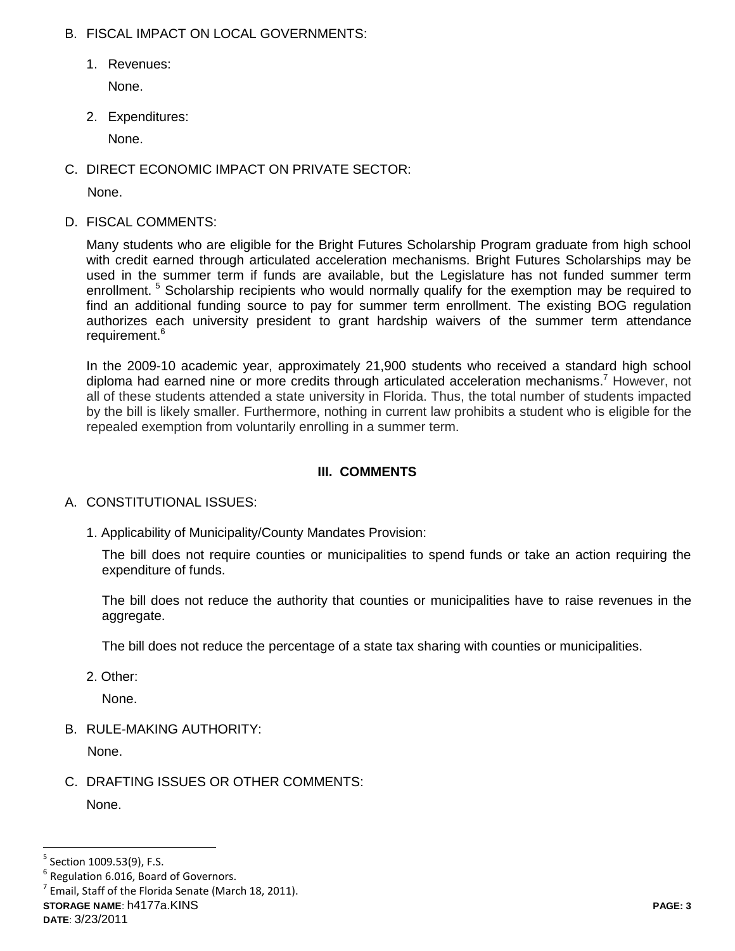## B. FISCAL IMPACT ON LOCAL GOVERNMENTS:

1. Revenues:

None.

2. Expenditures:

None.

C. DIRECT ECONOMIC IMPACT ON PRIVATE SECTOR:

None.

D. FISCAL COMMENTS:

Many students who are eligible for the Bright Futures Scholarship Program graduate from high school with credit earned through articulated acceleration mechanisms. Bright Futures Scholarships may be used in the summer term if funds are available, but the Legislature has not funded summer term enrollment.<sup>5</sup> Scholarship recipients who would normally qualify for the exemption may be required to find an additional funding source to pay for summer term enrollment. The existing BOG regulation authorizes each university president to grant hardship waivers of the summer term attendance requirement.<sup>6</sup>

In the 2009-10 academic year, approximately 21,900 students who received a standard high school diploma had earned nine or more credits through articulated acceleration mechanisms.<sup>7</sup> However, not all of these students attended a state university in Florida. Thus, the total number of students impacted by the bill is likely smaller. Furthermore, nothing in current law prohibits a student who is eligible for the repealed exemption from voluntarily enrolling in a summer term.

# **III. COMMENTS**

# A. CONSTITUTIONAL ISSUES:

1. Applicability of Municipality/County Mandates Provision:

The bill does not require counties or municipalities to spend funds or take an action requiring the expenditure of funds.

The bill does not reduce the authority that counties or municipalities have to raise revenues in the aggregate.

The bill does not reduce the percentage of a state tax sharing with counties or municipalities.

2. Other:

None.

B. RULE-MAKING AUTHORITY:

None.

C. DRAFTING ISSUES OR OTHER COMMENTS:

None.

 $\overline{a}$ 

<sup>&</sup>lt;sup>5</sup> Section 1009.53(9), F.S.

 $<sup>6</sup>$  Regulation 6.016, Board of Governors.</sup>

**STORAGE NAME**: h4177a.KINS **PAGE: 3** 7 Email, Staff of the Florida Senate (March 18, 2011).

**DATE**: 3/23/2011